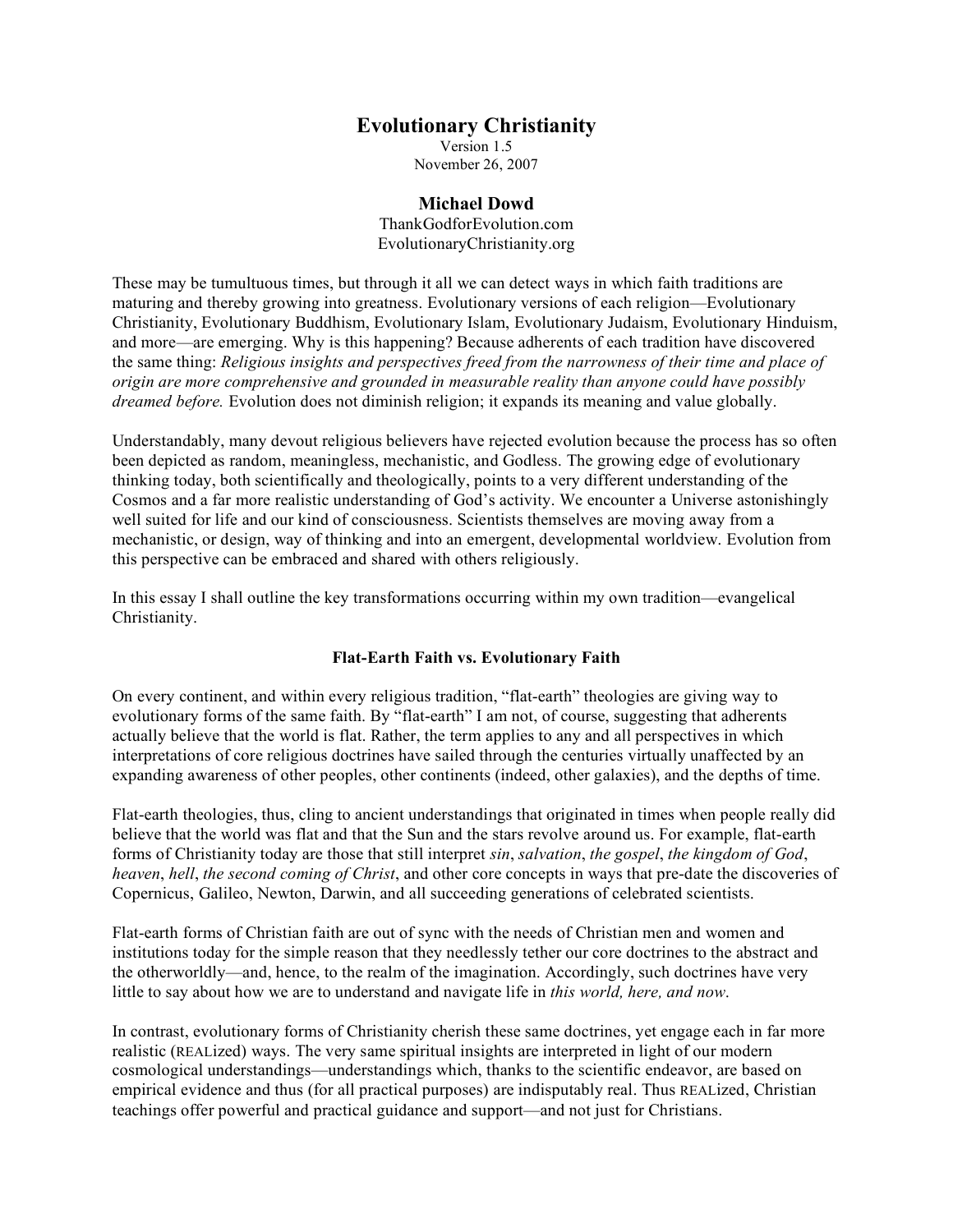# **Evolutionary Christianity**

Version 1.5 November 26, 2007

# **Michael Dowd**

ThankGodforEvolution.com EvolutionaryChristianity.org

These may be tumultuous times, but through it all we can detect ways in which faith traditions are maturing and thereby growing into greatness. Evolutionary versions of each religion—Evolutionary Christianity, Evolutionary Buddhism, Evolutionary Islam, Evolutionary Judaism, Evolutionary Hinduism, and more—are emerging. Why is this happening? Because adherents of each tradition have discovered the same thing: *Religious insights and perspectives freed from the narrowness of their time and place of origin are more comprehensive and grounded in measurable reality than anyone could have possibly dreamed before.* Evolution does not diminish religion; it expands its meaning and value globally.

Understandably, many devout religious believers have rejected evolution because the process has so often been depicted as random, meaningless, mechanistic, and Godless. The growing edge of evolutionary thinking today, both scientifically and theologically, points to a very different understanding of the Cosmos and a far more realistic understanding of God's activity. We encounter a Universe astonishingly well suited for life and our kind of consciousness. Scientists themselves are moving away from a mechanistic, or design, way of thinking and into an emergent, developmental worldview. Evolution from this perspective can be embraced and shared with others religiously.

In this essay I shall outline the key transformations occurring within my own tradition—evangelical Christianity.

# **Flat-Earth Faith vs. Evolutionary Faith**

On every continent, and within every religious tradition, "flat-earth" theologies are giving way to evolutionary forms of the same faith. By "flat-earth" I am not, of course, suggesting that adherents actually believe that the world is flat. Rather, the term applies to any and all perspectives in which interpretations of core religious doctrines have sailed through the centuries virtually unaffected by an expanding awareness of other peoples, other continents (indeed, other galaxies), and the depths of time.

Flat-earth theologies, thus, cling to ancient understandings that originated in times when people really did believe that the world was flat and that the Sun and the stars revolve around us. For example, flat-earth forms of Christianity today are those that still interpret *sin*, *salvation*, *the gospel*, *the kingdom of God*, *heaven*, *hell*, *the second coming of Christ*, and other core concepts in ways that pre-date the discoveries of Copernicus, Galileo, Newton, Darwin, and all succeeding generations of celebrated scientists.

Flat-earth forms of Christian faith are out of sync with the needs of Christian men and women and institutions today for the simple reason that they needlessly tether our core doctrines to the abstract and the otherworldly—and, hence, to the realm of the imagination. Accordingly, such doctrines have very little to say about how we are to understand and navigate life in *this world, here, and now*.

In contrast, evolutionary forms of Christianity cherish these same doctrines, yet engage each in far more realistic (REALized) ways. The very same spiritual insights are interpreted in light of our modern cosmological understandings—understandings which, thanks to the scientific endeavor, are based on empirical evidence and thus (for all practical purposes) are indisputably real. Thus REALized, Christian teachings offer powerful and practical guidance and support—and not just for Christians.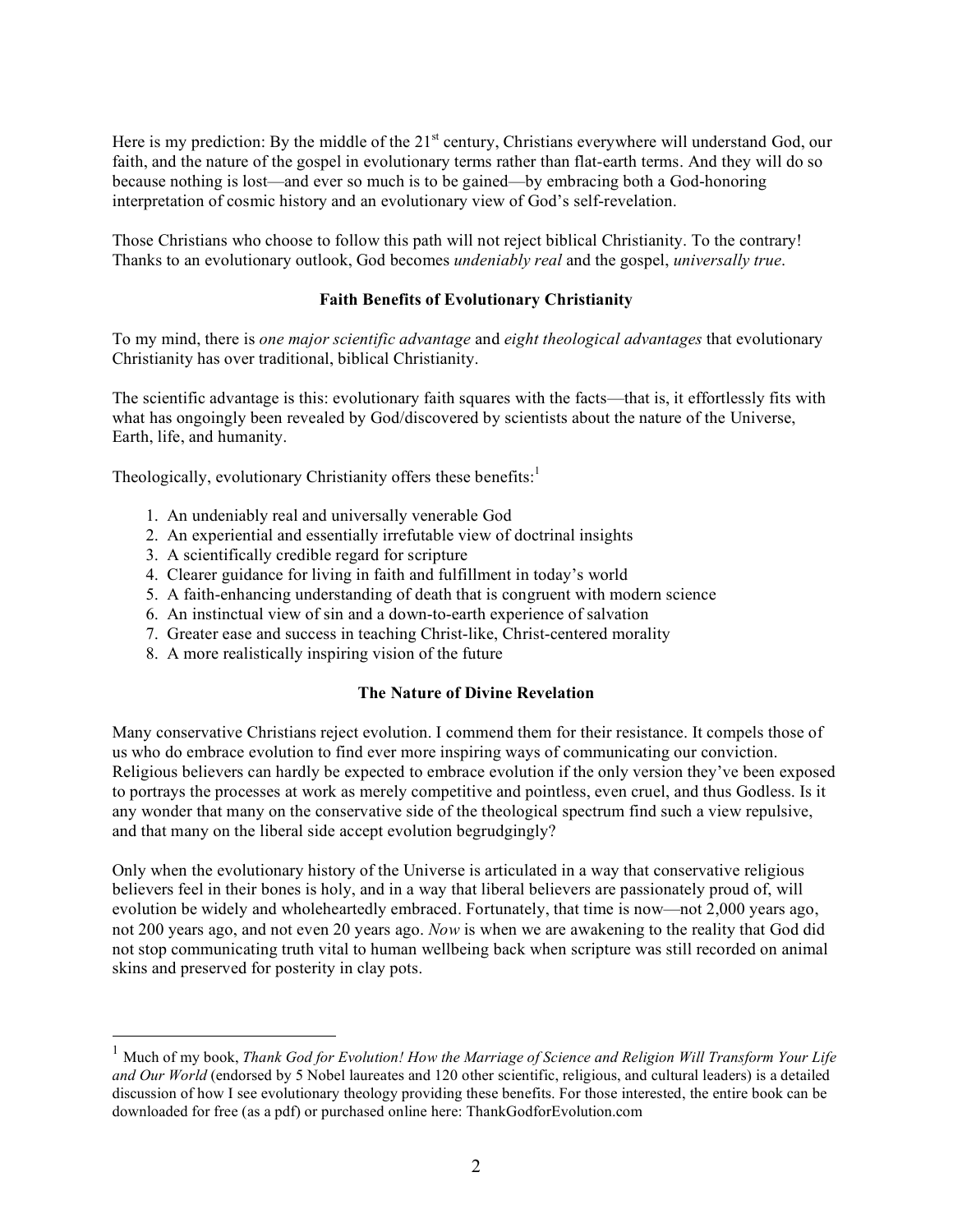Here is my prediction: By the middle of the 21<sup>st</sup> century, Christians everywhere will understand God, our faith, and the nature of the gospel in evolutionary terms rather than flat-earth terms. And they will do so because nothing is lost—and ever so much is to be gained—by embracing both a God-honoring interpretation of cosmic history and an evolutionary view of God's self-revelation.

Those Christians who choose to follow this path will not reject biblical Christianity. To the contrary! Thanks to an evolutionary outlook, God becomes *undeniably real* and the gospel, *universally true*.

# **Faith Benefits of Evolutionary Christianity**

To my mind, there is *one major scientific advantage* and *eight theological advantages* that evolutionary Christianity has over traditional, biblical Christianity.

The scientific advantage is this: evolutionary faith squares with the facts—that is, it effortlessly fits with what has ongoingly been revealed by God/discovered by scientists about the nature of the Universe, Earth, life, and humanity.

Theologically, evolutionary Christianity offers these benefits:<sup>1</sup>

- 1. An undeniably real and universally venerable God
- 2. An experiential and essentially irrefutable view of doctrinal insights
- 3. A scientifically credible regard for scripture
- 4. Clearer guidance for living in faith and fulfillment in today's world
- 5. A faith-enhancing understanding of death that is congruent with modern science
- 6. An instinctual view of sin and a down-to-earth experience of salvation
- 7. Greater ease and success in teaching Christ-like, Christ-centered morality
- 8. A more realistically inspiring vision of the future

# **The Nature of Divine Revelation**

Many conservative Christians reject evolution. I commend them for their resistance. It compels those of us who do embrace evolution to find ever more inspiring ways of communicating our conviction. Religious believers can hardly be expected to embrace evolution if the only version they've been exposed to portrays the processes at work as merely competitive and pointless, even cruel, and thus Godless. Is it any wonder that many on the conservative side of the theological spectrum find such a view repulsive, and that many on the liberal side accept evolution begrudgingly?

Only when the evolutionary history of the Universe is articulated in a way that conservative religious believers feel in their bones is holy, and in a way that liberal believers are passionately proud of, will evolution be widely and wholeheartedly embraced. Fortunately, that time is now—not 2,000 years ago, not 200 years ago, and not even 20 years ago. *Now* is when we are awakening to the reality that God did not stop communicating truth vital to human wellbeing back when scripture was still recorded on animal skins and preserved for posterity in clay pots.

 <sup>1</sup> Much of my book, *Thank God for Evolution! How the Marriage of Science and Religion Will Transform Your Life and Our World* (endorsed by 5 Nobel laureates and 120 other scientific, religious, and cultural leaders) is a detailed discussion of how I see evolutionary theology providing these benefits. For those interested, the entire book can be downloaded for free (as a pdf) or purchased online here: ThankGodforEvolution.com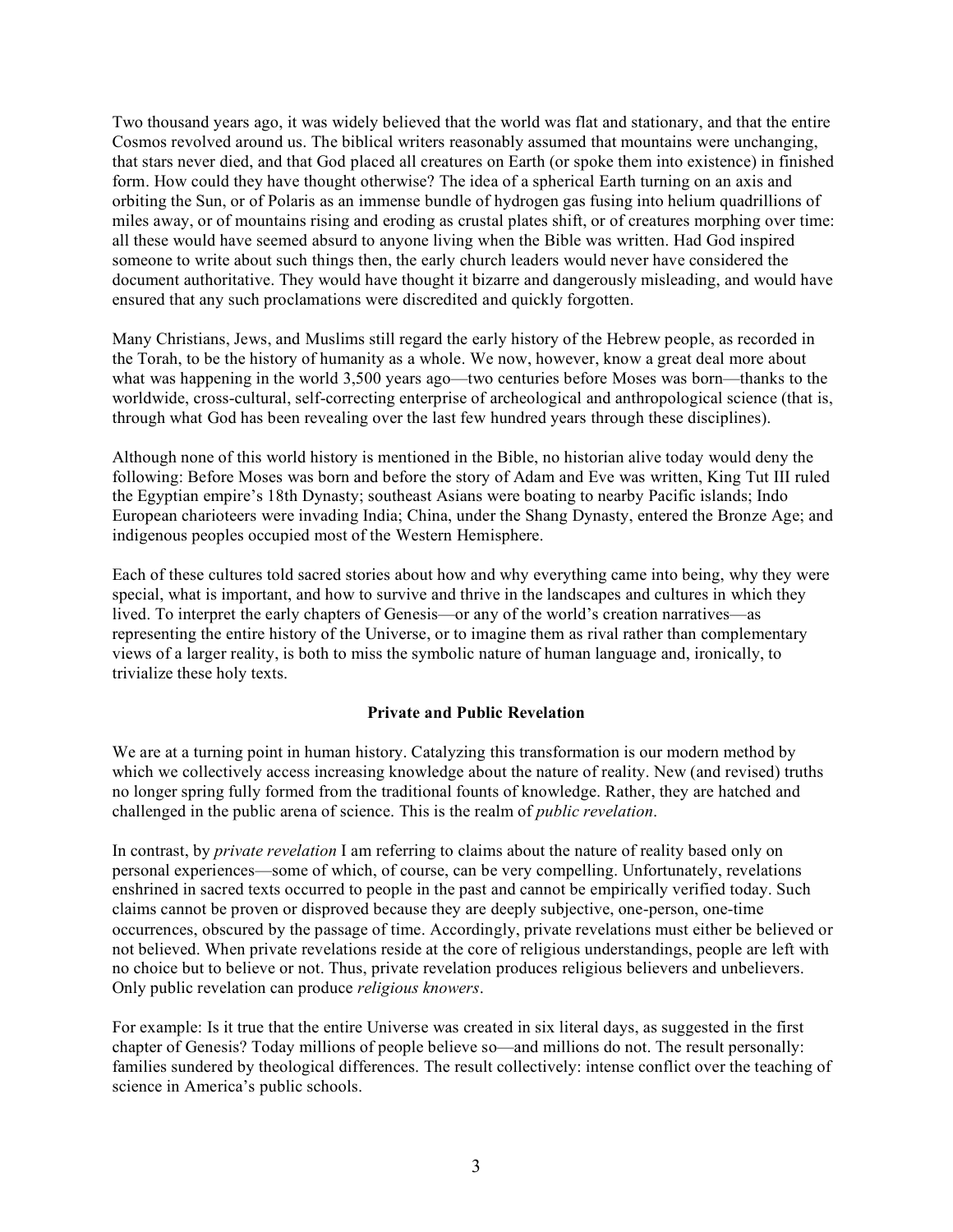Two thousand years ago, it was widely believed that the world was flat and stationary, and that the entire Cosmos revolved around us. The biblical writers reasonably assumed that mountains were unchanging, that stars never died, and that God placed all creatures on Earth (or spoke them into existence) in finished form. How could they have thought otherwise? The idea of a spherical Earth turning on an axis and orbiting the Sun, or of Polaris as an immense bundle of hydrogen gas fusing into helium quadrillions of miles away, or of mountains rising and eroding as crustal plates shift, or of creatures morphing over time: all these would have seemed absurd to anyone living when the Bible was written. Had God inspired someone to write about such things then, the early church leaders would never have considered the document authoritative. They would have thought it bizarre and dangerously misleading, and would have ensured that any such proclamations were discredited and quickly forgotten.

Many Christians, Jews, and Muslims still regard the early history of the Hebrew people, as recorded in the Torah, to be the history of humanity as a whole. We now, however, know a great deal more about what was happening in the world 3,500 years ago—two centuries before Moses was born—thanks to the worldwide, cross-cultural, self-correcting enterprise of archeological and anthropological science (that is, through what God has been revealing over the last few hundred years through these disciplines).

Although none of this world history is mentioned in the Bible, no historian alive today would deny the following: Before Moses was born and before the story of Adam and Eve was written, King Tut III ruled the Egyptian empire's 18th Dynasty; southeast Asians were boating to nearby Pacific islands; Indo European charioteers were invading India; China, under the Shang Dynasty, entered the Bronze Age; and indigenous peoples occupied most of the Western Hemisphere.

Each of these cultures told sacred stories about how and why everything came into being, why they were special, what is important, and how to survive and thrive in the landscapes and cultures in which they lived. To interpret the early chapters of Genesis—or any of the world's creation narratives—as representing the entire history of the Universe, or to imagine them as rival rather than complementary views of a larger reality, is both to miss the symbolic nature of human language and, ironically, to trivialize these holy texts.

# **Private and Public Revelation**

We are at a turning point in human history. Catalyzing this transformation is our modern method by which we collectively access increasing knowledge about the nature of reality. New (and revised) truths no longer spring fully formed from the traditional founts of knowledge. Rather, they are hatched and challenged in the public arena of science. This is the realm of *public revelation*.

In contrast, by *private revelation* I am referring to claims about the nature of reality based only on personal experiences—some of which, of course, can be very compelling. Unfortunately, revelations enshrined in sacred texts occurred to people in the past and cannot be empirically verified today. Such claims cannot be proven or disproved because they are deeply subjective, one-person, one-time occurrences, obscured by the passage of time. Accordingly, private revelations must either be believed or not believed. When private revelations reside at the core of religious understandings, people are left with no choice but to believe or not. Thus, private revelation produces religious believers and unbelievers. Only public revelation can produce *religious knowers*.

For example: Is it true that the entire Universe was created in six literal days, as suggested in the first chapter of Genesis? Today millions of people believe so—and millions do not. The result personally: families sundered by theological differences. The result collectively: intense conflict over the teaching of science in America's public schools.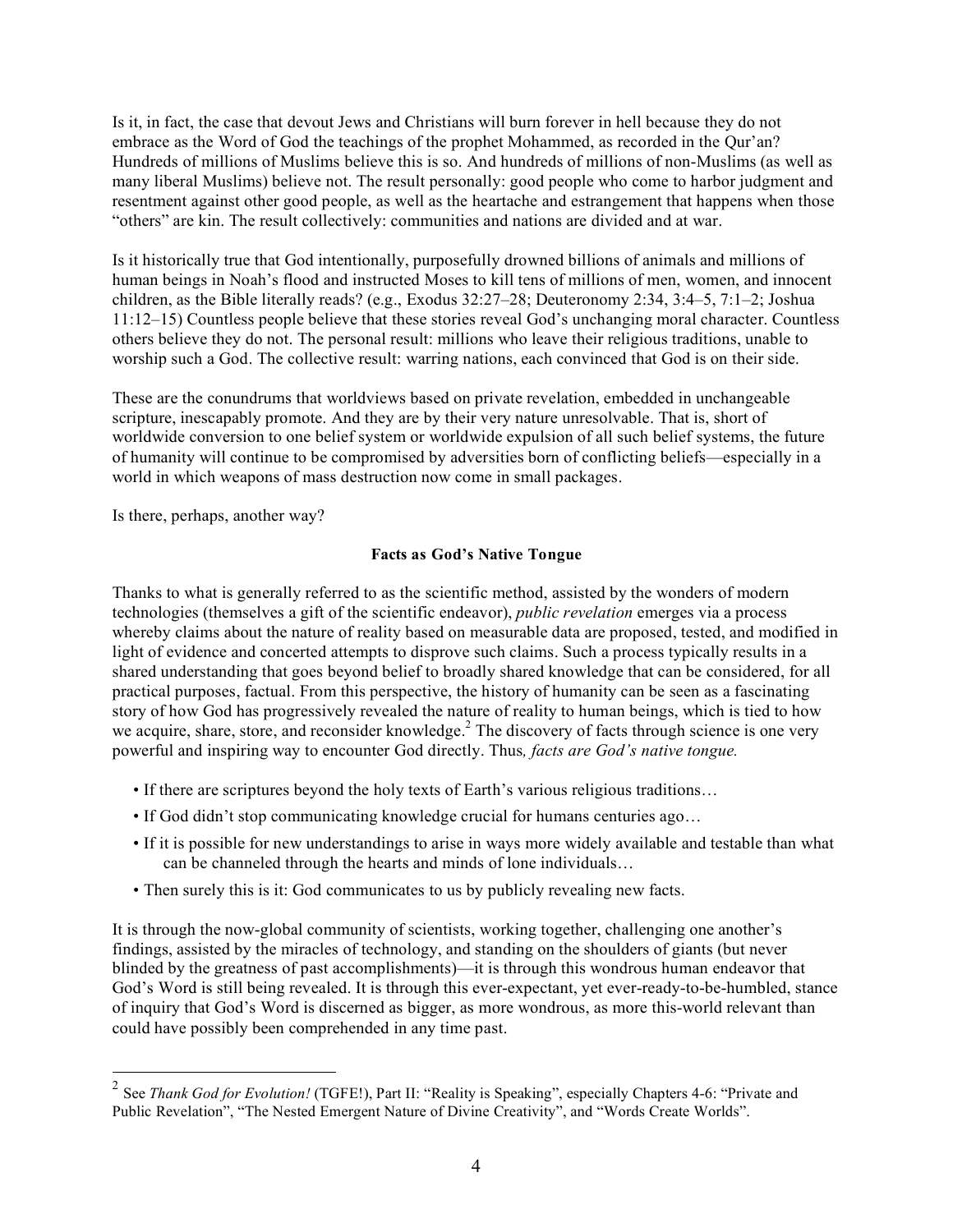Is it, in fact, the case that devout Jews and Christians will burn forever in hell because they do not embrace as the Word of God the teachings of the prophet Mohammed, as recorded in the Qur'an? Hundreds of millions of Muslims believe this is so. And hundreds of millions of non-Muslims (as well as many liberal Muslims) believe not. The result personally: good people who come to harbor judgment and resentment against other good people, as well as the heartache and estrangement that happens when those "others" are kin. The result collectively: communities and nations are divided and at war.

Is it historically true that God intentionally, purposefully drowned billions of animals and millions of human beings in Noah's flood and instructed Moses to kill tens of millions of men, women, and innocent children, as the Bible literally reads? (e.g., Exodus 32:27–28; Deuteronomy 2:34, 3:4–5, 7:1–2; Joshua 11:12–15) Countless people believe that these stories reveal God's unchanging moral character. Countless others believe they do not. The personal result: millions who leave their religious traditions, unable to worship such a God. The collective result: warring nations, each convinced that God is on their side.

These are the conundrums that worldviews based on private revelation, embedded in unchangeable scripture, inescapably promote. And they are by their very nature unresolvable. That is, short of worldwide conversion to one belief system or worldwide expulsion of all such belief systems, the future of humanity will continue to be compromised by adversities born of conflicting beliefs—especially in a world in which weapons of mass destruction now come in small packages.

Is there, perhaps, another way?

# **Facts as God's Native Tongue**

Thanks to what is generally referred to as the scientific method, assisted by the wonders of modern technologies (themselves a gift of the scientific endeavor), *public revelation* emerges via a process whereby claims about the nature of reality based on measurable data are proposed, tested, and modified in light of evidence and concerted attempts to disprove such claims. Such a process typically results in a shared understanding that goes beyond belief to broadly shared knowledge that can be considered, for all practical purposes, factual. From this perspective, the history of humanity can be seen as a fascinating story of how God has progressively revealed the nature of reality to human beings, which is tied to how we acquire, share, store, and reconsider knowledge.<sup>2</sup> The discovery of facts through science is one very powerful and inspiring way to encounter God directly. Thus*, facts are God's native tongue.*

- If there are scriptures beyond the holy texts of Earth's various religious traditions…
- If God didn't stop communicating knowledge crucial for humans centuries ago…
- If it is possible for new understandings to arise in ways more widely available and testable than what can be channeled through the hearts and minds of lone individuals…
- Then surely this is it: God communicates to us by publicly revealing new facts.

It is through the now-global community of scientists, working together, challenging one another's findings, assisted by the miracles of technology, and standing on the shoulders of giants (but never blinded by the greatness of past accomplishments)—it is through this wondrous human endeavor that God's Word is still being revealed. It is through this ever-expectant, yet ever-ready-to-be-humbled, stance of inquiry that God's Word is discerned as bigger, as more wondrous, as more this-world relevant than could have possibly been comprehended in any time past.

 <sup>2</sup> See *Thank God for Evolution!* (TGFE!), Part II: "Reality is Speaking", especially Chapters 4-6: "Private and Public Revelation", "The Nested Emergent Nature of Divine Creativity", and "Words Create Worlds".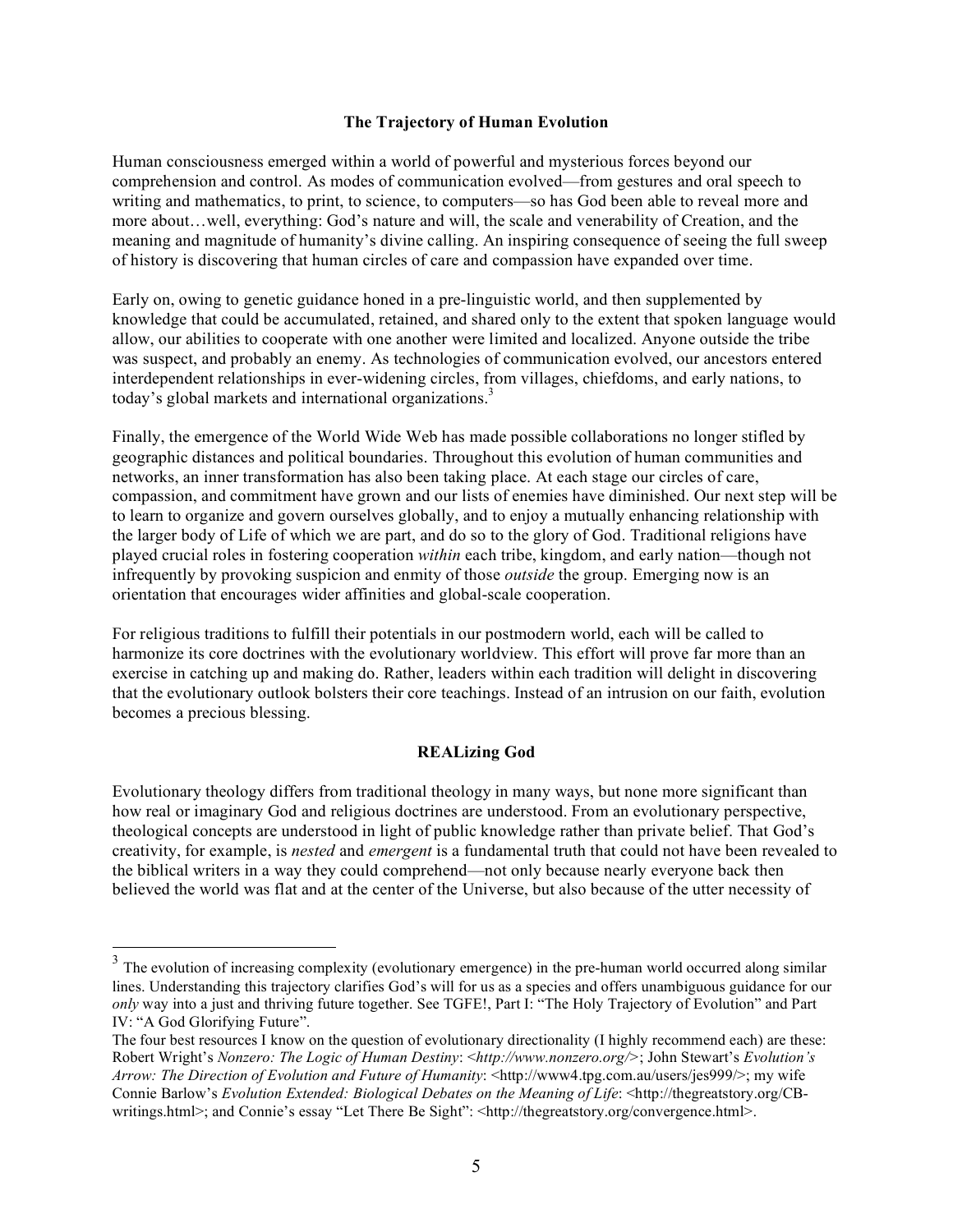#### **The Trajectory of Human Evolution**

Human consciousness emerged within a world of powerful and mysterious forces beyond our comprehension and control. As modes of communication evolved—from gestures and oral speech to writing and mathematics, to print, to science, to computers—so has God been able to reveal more and more about…well, everything: God's nature and will, the scale and venerability of Creation, and the meaning and magnitude of humanity's divine calling. An inspiring consequence of seeing the full sweep of history is discovering that human circles of care and compassion have expanded over time.

Early on, owing to genetic guidance honed in a pre-linguistic world, and then supplemented by knowledge that could be accumulated, retained, and shared only to the extent that spoken language would allow, our abilities to cooperate with one another were limited and localized. Anyone outside the tribe was suspect, and probably an enemy. As technologies of communication evolved, our ancestors entered interdependent relationships in ever-widening circles, from villages, chiefdoms, and early nations, to today's global markets and international organizations.<sup>3</sup>

Finally, the emergence of the World Wide Web has made possible collaborations no longer stifled by geographic distances and political boundaries. Throughout this evolution of human communities and networks, an inner transformation has also been taking place. At each stage our circles of care, compassion, and commitment have grown and our lists of enemies have diminished. Our next step will be to learn to organize and govern ourselves globally, and to enjoy a mutually enhancing relationship with the larger body of Life of which we are part, and do so to the glory of God. Traditional religions have played crucial roles in fostering cooperation *within* each tribe, kingdom, and early nation—though not infrequently by provoking suspicion and enmity of those *outside* the group. Emerging now is an orientation that encourages wider affinities and global-scale cooperation.

For religious traditions to fulfill their potentials in our postmodern world, each will be called to harmonize its core doctrines with the evolutionary worldview. This effort will prove far more than an exercise in catching up and making do. Rather, leaders within each tradition will delight in discovering that the evolutionary outlook bolsters their core teachings. Instead of an intrusion on our faith, evolution becomes a precious blessing.

# **REALizing God**

Evolutionary theology differs from traditional theology in many ways, but none more significant than how real or imaginary God and religious doctrines are understood. From an evolutionary perspective, theological concepts are understood in light of public knowledge rather than private belief. That God's creativity, for example, is *nested* and *emergent* is a fundamental truth that could not have been revealed to the biblical writers in a way they could comprehend—not only because nearly everyone back then believed the world was flat and at the center of the Universe, but also because of the utter necessity of

<sup>&</sup>lt;sup>3</sup> The evolution of increasing complexity (evolutionary emergence) in the pre-human world occurred along similar lines. Understanding this trajectory clarifies God's will for us as a species and offers unambiguous guidance for our *only* way into a just and thriving future together. See TGFE!, Part I: "The Holy Trajectory of Evolution" and Part IV: "A God Glorifying Future".

The four best resources I know on the question of evolutionary directionality (I highly recommend each) are these: Robert Wright's *Nonzero: The Logic of Human Destiny*: <*http://www.nonzero.org/>*; John Stewart's *Evolution's Arrow: The Direction of Evolution and Future of Humanity*: <http://www4.tpg.com.au/users/jes999/>; my wife Connie Barlow's *Evolution Extended: Biological Debates on the Meaning of Life*: <http://thegreatstory.org/CBwritings.html>; and Connie's essay "Let There Be Sight": <http://thegreatstory.org/convergence.html>.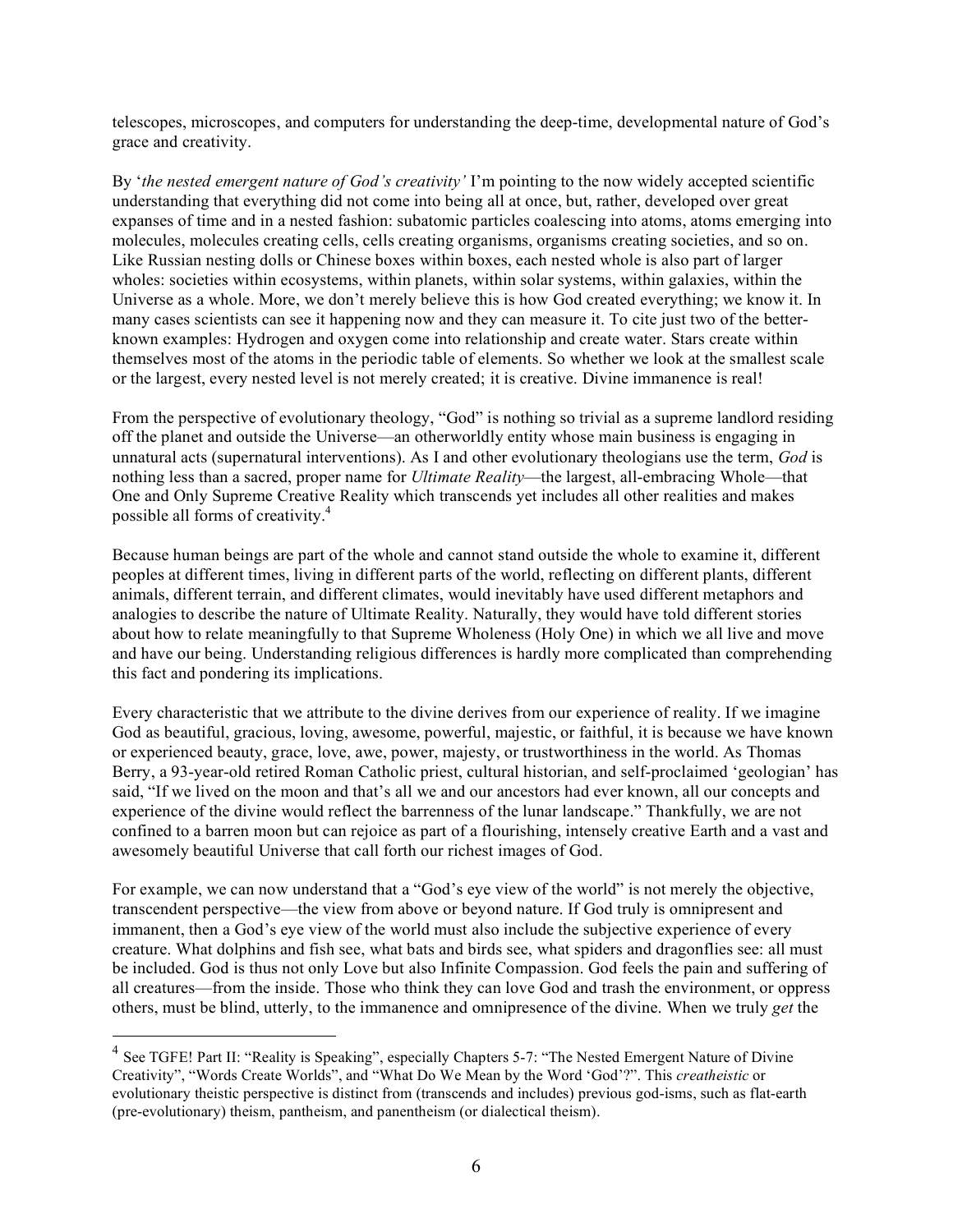telescopes, microscopes, and computers for understanding the deep-time, developmental nature of God's grace and creativity.

By '*the nested emergent nature of God's creativity'* I'm pointing to the now widely accepted scientific understanding that everything did not come into being all at once, but, rather, developed over great expanses of time and in a nested fashion: subatomic particles coalescing into atoms, atoms emerging into molecules, molecules creating cells, cells creating organisms, organisms creating societies, and so on. Like Russian nesting dolls or Chinese boxes within boxes, each nested whole is also part of larger wholes: societies within ecosystems, within planets, within solar systems, within galaxies, within the Universe as a whole. More, we don't merely believe this is how God created everything; we know it. In many cases scientists can see it happening now and they can measure it. To cite just two of the betterknown examples: Hydrogen and oxygen come into relationship and create water. Stars create within themselves most of the atoms in the periodic table of elements. So whether we look at the smallest scale or the largest, every nested level is not merely created; it is creative. Divine immanence is real!

From the perspective of evolutionary theology, "God" is nothing so trivial as a supreme landlord residing off the planet and outside the Universe—an otherworldly entity whose main business is engaging in unnatural acts (supernatural interventions). As I and other evolutionary theologians use the term, *God* is nothing less than a sacred, proper name for *Ultimate Reality*—the largest, all-embracing Whole—that One and Only Supreme Creative Reality which transcends yet includes all other realities and makes possible all forms of creativity. 4

Because human beings are part of the whole and cannot stand outside the whole to examine it, different peoples at different times, living in different parts of the world, reflecting on different plants, different animals, different terrain, and different climates, would inevitably have used different metaphors and analogies to describe the nature of Ultimate Reality. Naturally, they would have told different stories about how to relate meaningfully to that Supreme Wholeness (Holy One) in which we all live and move and have our being. Understanding religious differences is hardly more complicated than comprehending this fact and pondering its implications.

Every characteristic that we attribute to the divine derives from our experience of reality. If we imagine God as beautiful, gracious, loving, awesome, powerful, majestic, or faithful, it is because we have known or experienced beauty, grace, love, awe, power, majesty, or trustworthiness in the world. As Thomas Berry, a 93-year-old retired Roman Catholic priest, cultural historian, and self-proclaimed 'geologian' has said, "If we lived on the moon and that's all we and our ancestors had ever known, all our concepts and experience of the divine would reflect the barrenness of the lunar landscape." Thankfully, we are not confined to a barren moon but can rejoice as part of a flourishing, intensely creative Earth and a vast and awesomely beautiful Universe that call forth our richest images of God.

For example, we can now understand that a "God's eye view of the world" is not merely the objective, transcendent perspective—the view from above or beyond nature. If God truly is omnipresent and immanent, then a God's eye view of the world must also include the subjective experience of every creature. What dolphins and fish see, what bats and birds see, what spiders and dragonflies see: all must be included. God is thus not only Love but also Infinite Compassion. God feels the pain and suffering of all creatures—from the inside. Those who think they can love God and trash the environment, or oppress others, must be blind, utterly, to the immanence and omnipresence of the divine. When we truly *get* the

 <sup>4</sup> See TGFE! Part II: "Reality is Speaking", especially Chapters 5-7: "The Nested Emergent Nature of Divine Creativity", "Words Create Worlds", and "What Do We Mean by the Word 'God'?". This *creatheistic* or evolutionary theistic perspective is distinct from (transcends and includes) previous god-isms, such as flat-earth (pre-evolutionary) theism, pantheism, and panentheism (or dialectical theism).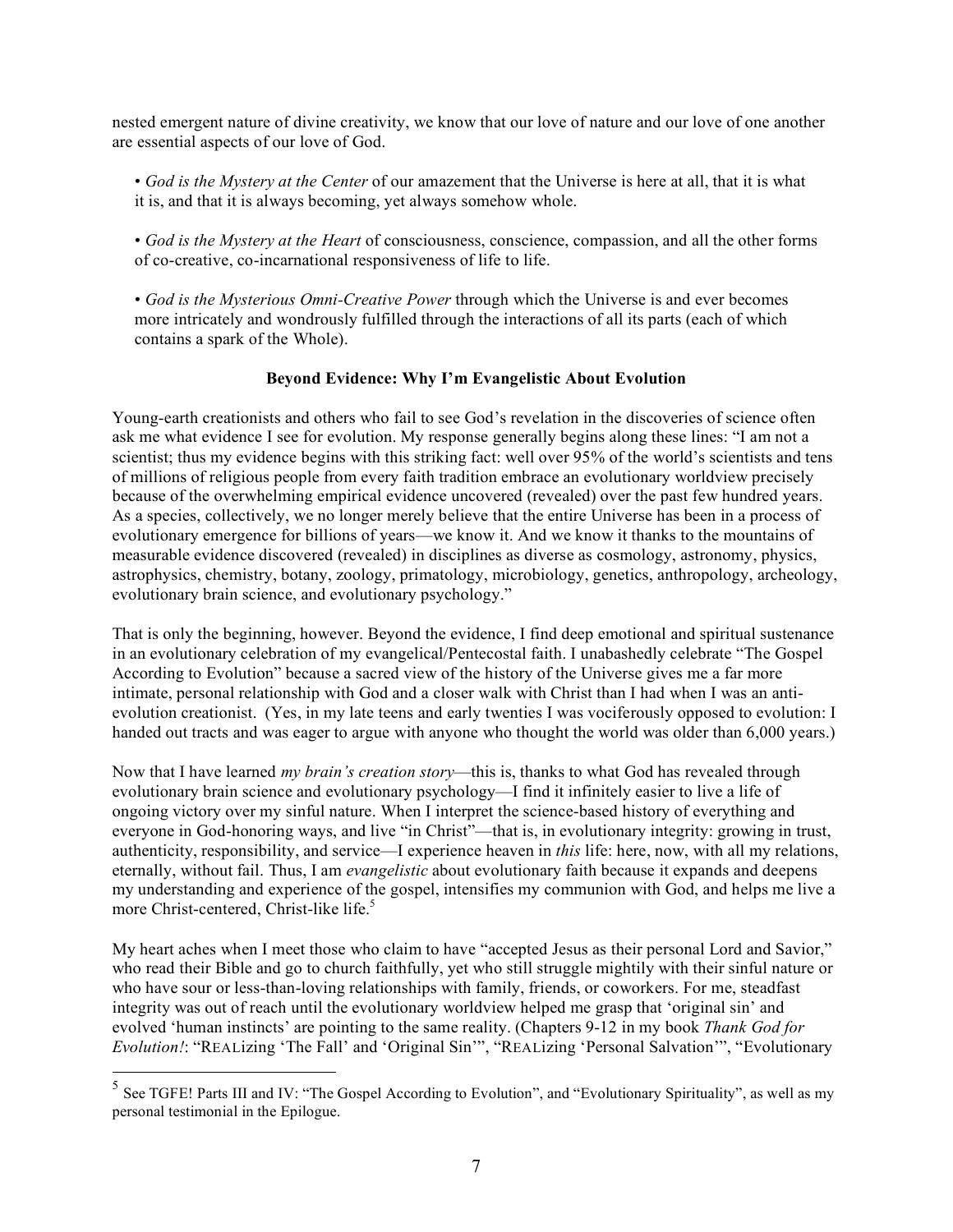nested emergent nature of divine creativity, we know that our love of nature and our love of one another are essential aspects of our love of God.

- *God is the Mystery at the Center* of our amazement that the Universe is here at all, that it is what it is, and that it is always becoming, yet always somehow whole.
- *God is the Mystery at the Heart* of consciousness, conscience, compassion, and all the other forms of co-creative, co-incarnational responsiveness of life to life.
- *God is the Mysterious Omni-Creative Power* through which the Universe is and ever becomes more intricately and wondrously fulfilled through the interactions of all its parts (each of which contains a spark of the Whole).

# **Beyond Evidence: Why I'm Evangelistic About Evolution**

Young-earth creationists and others who fail to see God's revelation in the discoveries of science often ask me what evidence I see for evolution. My response generally begins along these lines: "I am not a scientist; thus my evidence begins with this striking fact: well over 95% of the world's scientists and tens of millions of religious people from every faith tradition embrace an evolutionary worldview precisely because of the overwhelming empirical evidence uncovered (revealed) over the past few hundred years. As a species, collectively, we no longer merely believe that the entire Universe has been in a process of evolutionary emergence for billions of years—we know it. And we know it thanks to the mountains of measurable evidence discovered (revealed) in disciplines as diverse as cosmology, astronomy, physics, astrophysics, chemistry, botany, zoology, primatology, microbiology, genetics, anthropology, archeology, evolutionary brain science, and evolutionary psychology."

That is only the beginning, however. Beyond the evidence, I find deep emotional and spiritual sustenance in an evolutionary celebration of my evangelical/Pentecostal faith. I unabashedly celebrate "The Gospel According to Evolution" because a sacred view of the history of the Universe gives me a far more intimate, personal relationship with God and a closer walk with Christ than I had when I was an antievolution creationist. (Yes, in my late teens and early twenties I was vociferously opposed to evolution: I handed out tracts and was eager to argue with anyone who thought the world was older than 6,000 years.)

Now that I have learned *my brain's creation story*—this is, thanks to what God has revealed through evolutionary brain science and evolutionary psychology—I find it infinitely easier to live a life of ongoing victory over my sinful nature. When I interpret the science-based history of everything and everyone in God-honoring ways, and live "in Christ"—that is, in evolutionary integrity: growing in trust, authenticity, responsibility, and service—I experience heaven in *this* life: here, now, with all my relations, eternally, without fail. Thus, I am *evangelistic* about evolutionary faith because it expands and deepens my understanding and experience of the gospel, intensifies my communion with God, and helps me live a more Christ-centered, Christ-like life. $5$ 

My heart aches when I meet those who claim to have "accepted Jesus as their personal Lord and Savior," who read their Bible and go to church faithfully, yet who still struggle mightily with their sinful nature or who have sour or less-than-loving relationships with family, friends, or coworkers. For me, steadfast integrity was out of reach until the evolutionary worldview helped me grasp that 'original sin' and evolved 'human instincts' are pointing to the same reality. (Chapters 9-12 in my book *Thank God for Evolution!*: "REALizing 'The Fall' and 'Original Sin'", "REALizing 'Personal Salvation'", "Evolutionary

<sup>&</sup>lt;sup>5</sup> See TGFE! Parts III and IV: "The Gospel According to Evolution", and "Evolutionary Spirituality", as well as my personal testimonial in the Epilogue.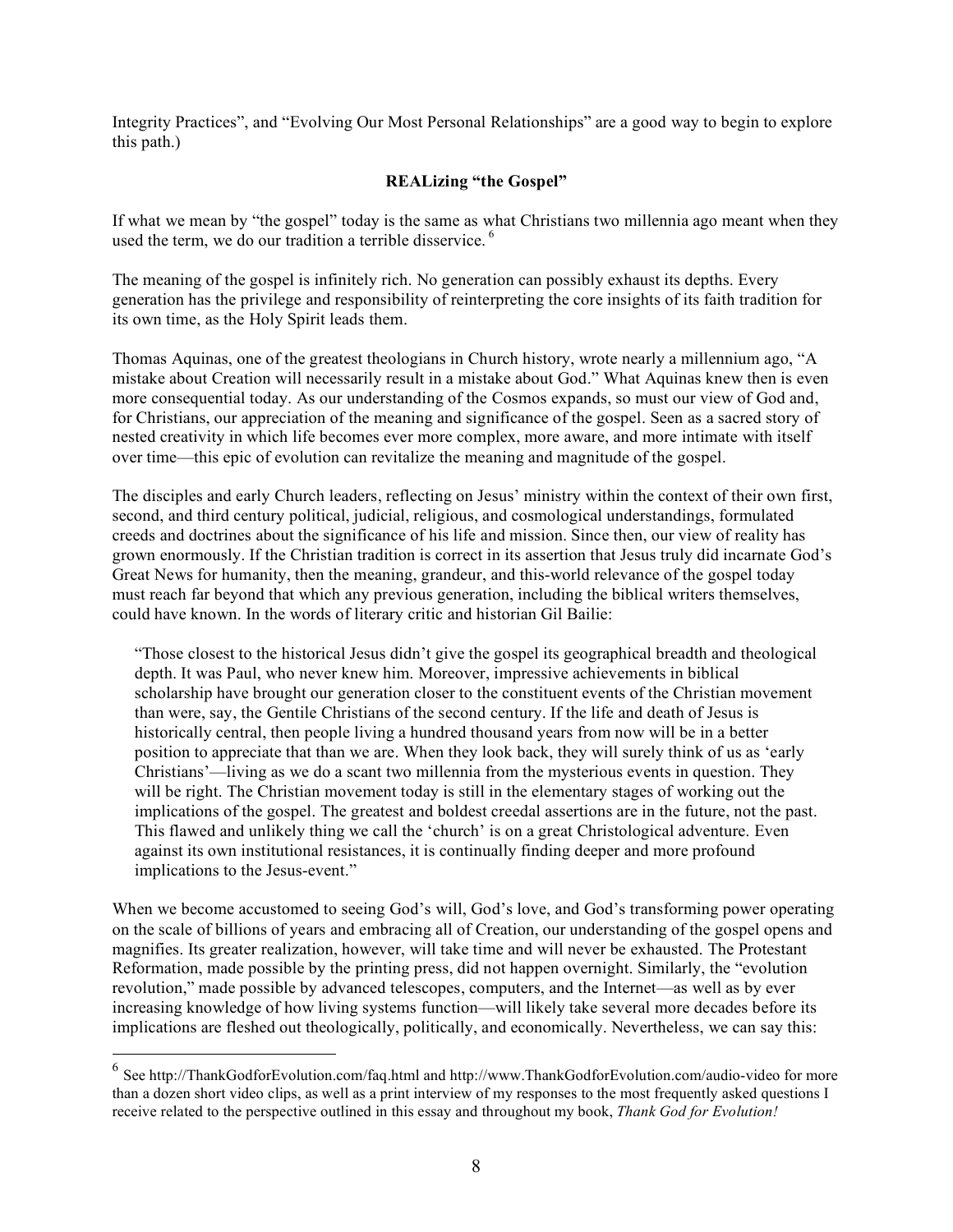Integrity Practices", and "Evolving Our Most Personal Relationships" are a good way to begin to explore this path.)

#### **REALizing "the Gospel"**

If what we mean by "the gospel" today is the same as what Christians two millennia ago meant when they used the term, we do our tradition a terrible disservice.<sup>6</sup>

The meaning of the gospel is infinitely rich. No generation can possibly exhaust its depths. Every generation has the privilege and responsibility of reinterpreting the core insights of its faith tradition for its own time, as the Holy Spirit leads them.

Thomas Aquinas, one of the greatest theologians in Church history, wrote nearly a millennium ago, "A mistake about Creation will necessarily result in a mistake about God." What Aquinas knew then is even more consequential today. As our understanding of the Cosmos expands, so must our view of God and, for Christians, our appreciation of the meaning and significance of the gospel. Seen as a sacred story of nested creativity in which life becomes ever more complex, more aware, and more intimate with itself over time—this epic of evolution can revitalize the meaning and magnitude of the gospel.

The disciples and early Church leaders, reflecting on Jesus' ministry within the context of their own first, second, and third century political, judicial, religious, and cosmological understandings, formulated creeds and doctrines about the significance of his life and mission. Since then, our view of reality has grown enormously. If the Christian tradition is correct in its assertion that Jesus truly did incarnate God's Great News for humanity, then the meaning, grandeur, and this-world relevance of the gospel today must reach far beyond that which any previous generation, including the biblical writers themselves, could have known. In the words of literary critic and historian Gil Bailie:

"Those closest to the historical Jesus didn't give the gospel its geographical breadth and theological depth. It was Paul, who never knew him. Moreover, impressive achievements in biblical scholarship have brought our generation closer to the constituent events of the Christian movement than were, say, the Gentile Christians of the second century. If the life and death of Jesus is historically central, then people living a hundred thousand years from now will be in a better position to appreciate that than we are. When they look back, they will surely think of us as 'early Christians'—living as we do a scant two millennia from the mysterious events in question. They will be right. The Christian movement today is still in the elementary stages of working out the implications of the gospel. The greatest and boldest creedal assertions are in the future, not the past. This flawed and unlikely thing we call the 'church' is on a great Christological adventure. Even against its own institutional resistances, it is continually finding deeper and more profound implications to the Jesus-event."

When we become accustomed to seeing God's will, God's love, and God's transforming power operating on the scale of billions of years and embracing all of Creation, our understanding of the gospel opens and magnifies. Its greater realization, however, will take time and will never be exhausted. The Protestant Reformation, made possible by the printing press, did not happen overnight. Similarly, the "evolution revolution," made possible by advanced telescopes, computers, and the Internet—as well as by ever increasing knowledge of how living systems function—will likely take several more decades before its implications are fleshed out theologically, politically, and economically. Nevertheless, we can say this:

 <sup>6</sup> See http://ThankGodforEvolution.com/faq.html and http://www.ThankGodforEvolution.com/audio-video for more than a dozen short video clips, as well as a print interview of my responses to the most frequently asked questions I receive related to the perspective outlined in this essay and throughout my book, *Thank God for Evolution!*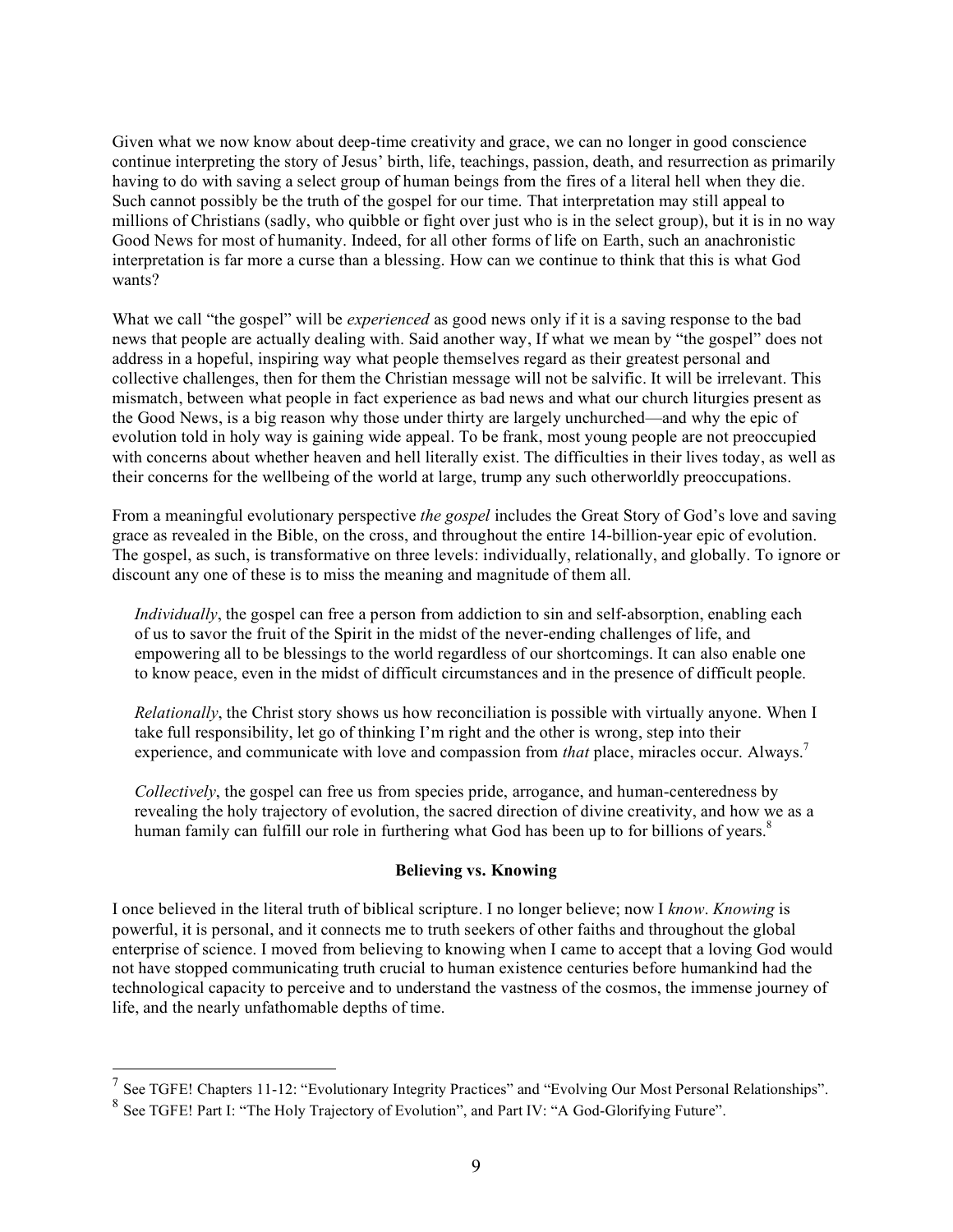Given what we now know about deep-time creativity and grace, we can no longer in good conscience continue interpreting the story of Jesus' birth, life, teachings, passion, death, and resurrection as primarily having to do with saving a select group of human beings from the fires of a literal hell when they die. Such cannot possibly be the truth of the gospel for our time. That interpretation may still appeal to millions of Christians (sadly, who quibble or fight over just who is in the select group), but it is in no way Good News for most of humanity. Indeed, for all other forms of life on Earth, such an anachronistic interpretation is far more a curse than a blessing. How can we continue to think that this is what God wants?

What we call "the gospel" will be *experienced* as good news only if it is a saving response to the bad news that people are actually dealing with. Said another way, If what we mean by "the gospel" does not address in a hopeful, inspiring way what people themselves regard as their greatest personal and collective challenges, then for them the Christian message will not be salvific. It will be irrelevant. This mismatch, between what people in fact experience as bad news and what our church liturgies present as the Good News, is a big reason why those under thirty are largely unchurched—and why the epic of evolution told in holy way is gaining wide appeal. To be frank, most young people are not preoccupied with concerns about whether heaven and hell literally exist. The difficulties in their lives today, as well as their concerns for the wellbeing of the world at large, trump any such otherworldly preoccupations.

From a meaningful evolutionary perspective *the gospel* includes the Great Story of God's love and saving grace as revealed in the Bible, on the cross, and throughout the entire 14-billion-year epic of evolution. The gospel, as such, is transformative on three levels: individually, relationally, and globally. To ignore or discount any one of these is to miss the meaning and magnitude of them all.

*Individually*, the gospel can free a person from addiction to sin and self-absorption, enabling each of us to savor the fruit of the Spirit in the midst of the never-ending challenges of life, and empowering all to be blessings to the world regardless of our shortcomings. It can also enable one to know peace, even in the midst of difficult circumstances and in the presence of difficult people.

*Relationally*, the Christ story shows us how reconciliation is possible with virtually anyone. When I take full responsibility, let go of thinking I'm right and the other is wrong, step into their experience, and communicate with love and compassion from *that* place, miracles occur. Always.<sup>7</sup>

*Collectively*, the gospel can free us from species pride, arrogance, and human-centeredness by revealing the holy trajectory of evolution, the sacred direction of divine creativity, and how we as a human family can fulfill our role in furthering what God has been up to for billions of years.<sup>8</sup>

# **Believing vs. Knowing**

I once believed in the literal truth of biblical scripture. I no longer believe; now I *know*. *Knowing* is powerful, it is personal, and it connects me to truth seekers of other faiths and throughout the global enterprise of science. I moved from believing to knowing when I came to accept that a loving God would not have stopped communicating truth crucial to human existence centuries before humankind had the technological capacity to perceive and to understand the vastness of the cosmos, the immense journey of life, and the nearly unfathomable depths of time.

 <sup>7</sup> See TGFE! Chapters 11-12: "Evolutionary Integrity Practices" and "Evolving Our Most Personal Relationships".

<sup>8</sup> See TGFE! Part I: "The Holy Trajectory of Evolution", and Part IV: "A God-Glorifying Future".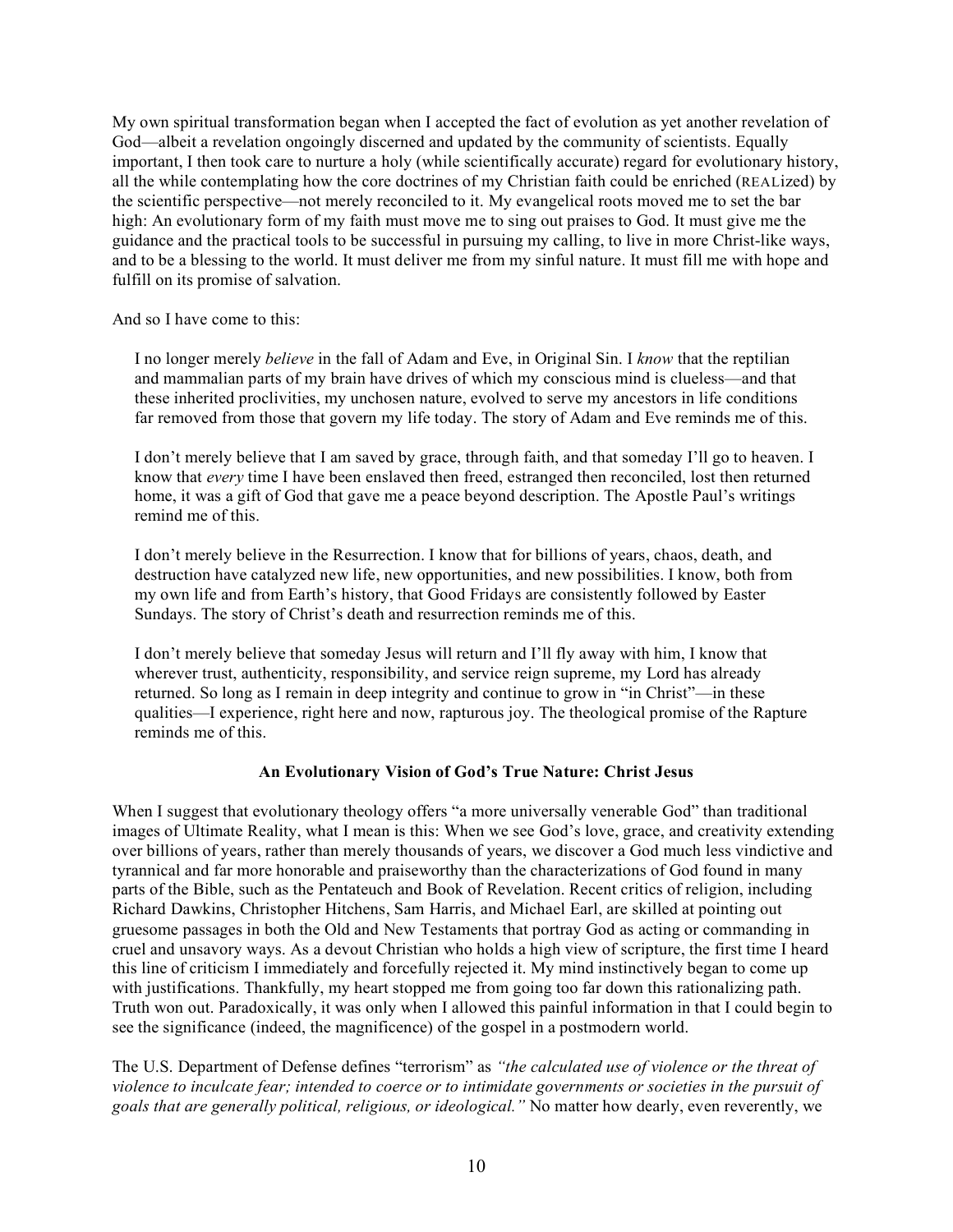My own spiritual transformation began when I accepted the fact of evolution as yet another revelation of God—albeit a revelation ongoingly discerned and updated by the community of scientists. Equally important, I then took care to nurture a holy (while scientifically accurate) regard for evolutionary history, all the while contemplating how the core doctrines of my Christian faith could be enriched (REALized) by the scientific perspective—not merely reconciled to it. My evangelical roots moved me to set the bar high: An evolutionary form of my faith must move me to sing out praises to God. It must give me the guidance and the practical tools to be successful in pursuing my calling, to live in more Christ-like ways, and to be a blessing to the world. It must deliver me from my sinful nature. It must fill me with hope and fulfill on its promise of salvation.

And so I have come to this:

I no longer merely *believe* in the fall of Adam and Eve, in Original Sin. I *know* that the reptilian and mammalian parts of my brain have drives of which my conscious mind is clueless—and that these inherited proclivities, my unchosen nature, evolved to serve my ancestors in life conditions far removed from those that govern my life today. The story of Adam and Eve reminds me of this.

I don't merely believe that I am saved by grace, through faith, and that someday I'll go to heaven. I know that *every* time I have been enslaved then freed, estranged then reconciled, lost then returned home, it was a gift of God that gave me a peace beyond description. The Apostle Paul's writings remind me of this.

I don't merely believe in the Resurrection. I know that for billions of years, chaos, death, and destruction have catalyzed new life, new opportunities, and new possibilities. I know, both from my own life and from Earth's history, that Good Fridays are consistently followed by Easter Sundays. The story of Christ's death and resurrection reminds me of this.

I don't merely believe that someday Jesus will return and I'll fly away with him, I know that wherever trust, authenticity, responsibility, and service reign supreme, my Lord has already returned. So long as I remain in deep integrity and continue to grow in "in Christ"—in these qualities—I experience, right here and now, rapturous joy. The theological promise of the Rapture reminds me of this.

# **An Evolutionary Vision of God's True Nature: Christ Jesus**

When I suggest that evolutionary theology offers "a more universally venerable God" than traditional images of Ultimate Reality, what I mean is this: When we see God's love, grace, and creativity extending over billions of years, rather than merely thousands of years, we discover a God much less vindictive and tyrannical and far more honorable and praiseworthy than the characterizations of God found in many parts of the Bible, such as the Pentateuch and Book of Revelation. Recent critics of religion, including Richard Dawkins, Christopher Hitchens, Sam Harris, and Michael Earl, are skilled at pointing out gruesome passages in both the Old and New Testaments that portray God as acting or commanding in cruel and unsavory ways. As a devout Christian who holds a high view of scripture, the first time I heard this line of criticism I immediately and forcefully rejected it. My mind instinctively began to come up with justifications. Thankfully, my heart stopped me from going too far down this rationalizing path. Truth won out. Paradoxically, it was only when I allowed this painful information in that I could begin to see the significance (indeed, the magnificence) of the gospel in a postmodern world.

The U.S. Department of Defense defines "terrorism" as *"the calculated use of violence or the threat of violence to inculcate fear; intended to coerce or to intimidate governments or societies in the pursuit of goals that are generally political, religious, or ideological."* No matter how dearly, even reverently, we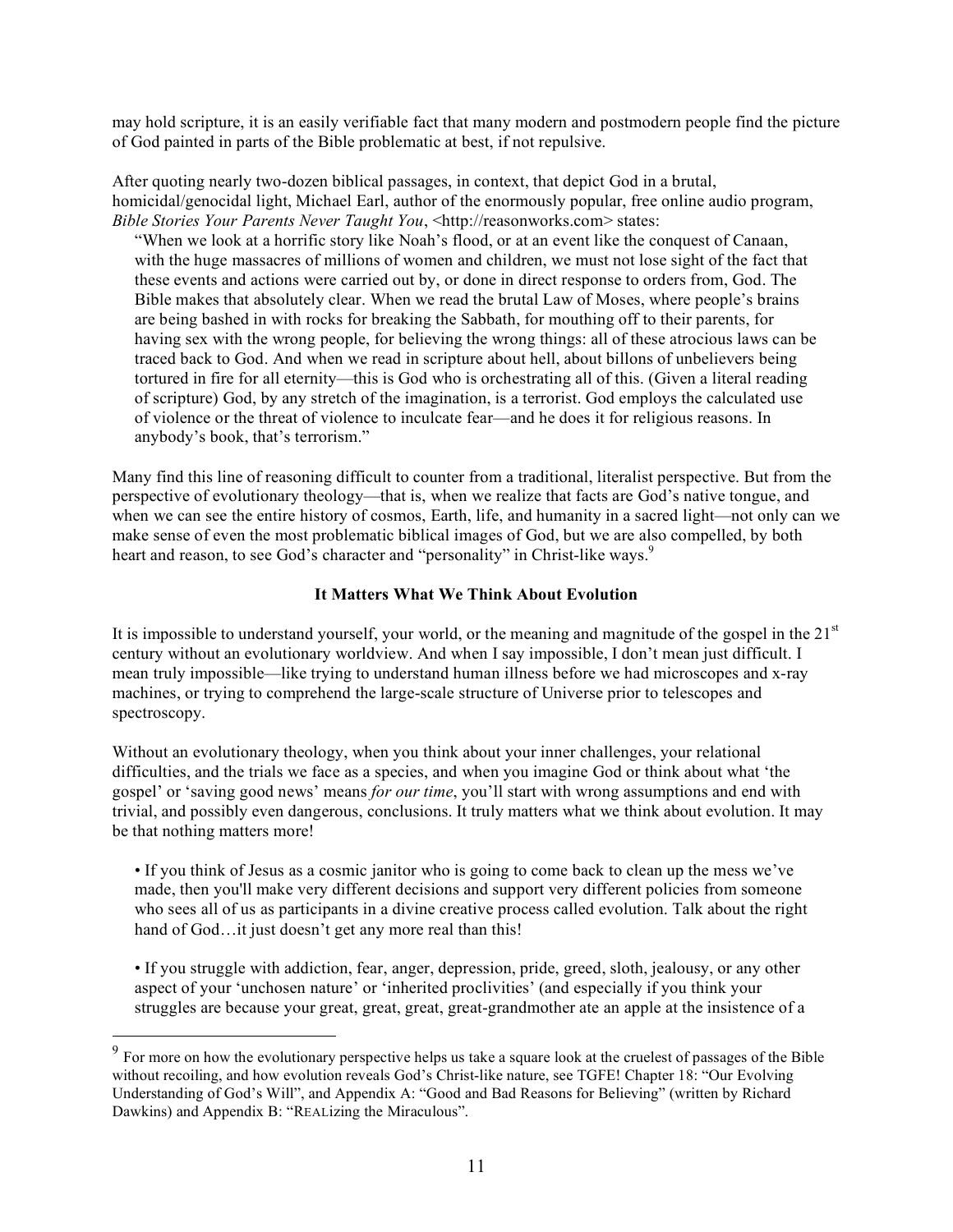may hold scripture, it is an easily verifiable fact that many modern and postmodern people find the picture of God painted in parts of the Bible problematic at best, if not repulsive.

After quoting nearly two-dozen biblical passages, in context, that depict God in a brutal, homicidal/genocidal light, Michael Earl, author of the enormously popular, free online audio program, *Bible Stories Your Parents Never Taught You*, <http://reasonworks.com> states:

"When we look at a horrific story like Noah's flood, or at an event like the conquest of Canaan, with the huge massacres of millions of women and children, we must not lose sight of the fact that these events and actions were carried out by, or done in direct response to orders from, God. The Bible makes that absolutely clear. When we read the brutal Law of Moses, where people's brains are being bashed in with rocks for breaking the Sabbath, for mouthing off to their parents, for having sex with the wrong people, for believing the wrong things: all of these atrocious laws can be traced back to God. And when we read in scripture about hell, about billons of unbelievers being tortured in fire for all eternity—this is God who is orchestrating all of this. (Given a literal reading of scripture) God, by any stretch of the imagination, is a terrorist. God employs the calculated use of violence or the threat of violence to inculcate fear—and he does it for religious reasons. In anybody's book, that's terrorism."

Many find this line of reasoning difficult to counter from a traditional, literalist perspective. But from the perspective of evolutionary theology—that is, when we realize that facts are God's native tongue, and when we can see the entire history of cosmos, Earth, life, and humanity in a sacred light—not only can we make sense of even the most problematic biblical images of God, but we are also compelled, by both heart and reason, to see God's character and "personality" in Christ-like ways.<sup>9</sup>

# **It Matters What We Think About Evolution**

It is impossible to understand yourself, your world, or the meaning and magnitude of the gospel in the  $21<sup>st</sup>$ century without an evolutionary worldview. And when I say impossible, I don't mean just difficult. I mean truly impossible—like trying to understand human illness before we had microscopes and x-ray machines, or trying to comprehend the large-scale structure of Universe prior to telescopes and spectroscopy.

Without an evolutionary theology, when you think about your inner challenges, your relational difficulties, and the trials we face as a species, and when you imagine God or think about what 'the gospel' or 'saving good news' means *for our time*, you'll start with wrong assumptions and end with trivial, and possibly even dangerous, conclusions. It truly matters what we think about evolution. It may be that nothing matters more!

• If you think of Jesus as a cosmic janitor who is going to come back to clean up the mess we've made, then you'll make very different decisions and support very different policies from someone who sees all of us as participants in a divine creative process called evolution. Talk about the right hand of God... it just doesn't get any more real than this!

• If you struggle with addiction, fear, anger, depression, pride, greed, sloth, jealousy, or any other aspect of your 'unchosen nature' or 'inherited proclivities' (and especially if you think your struggles are because your great, great, great, great-grandmother ate an apple at the insistence of a

<sup>&</sup>lt;sup>9</sup> For more on how the evolutionary perspective helps us take a square look at the cruelest of passages of the Bible without recoiling, and how evolution reveals God's Christ-like nature, see TGFE! Chapter 18: "Our Evolving Understanding of God's Will", and Appendix A: "Good and Bad Reasons for Believing" (written by Richard Dawkins) and Appendix B: "REALizing the Miraculous".